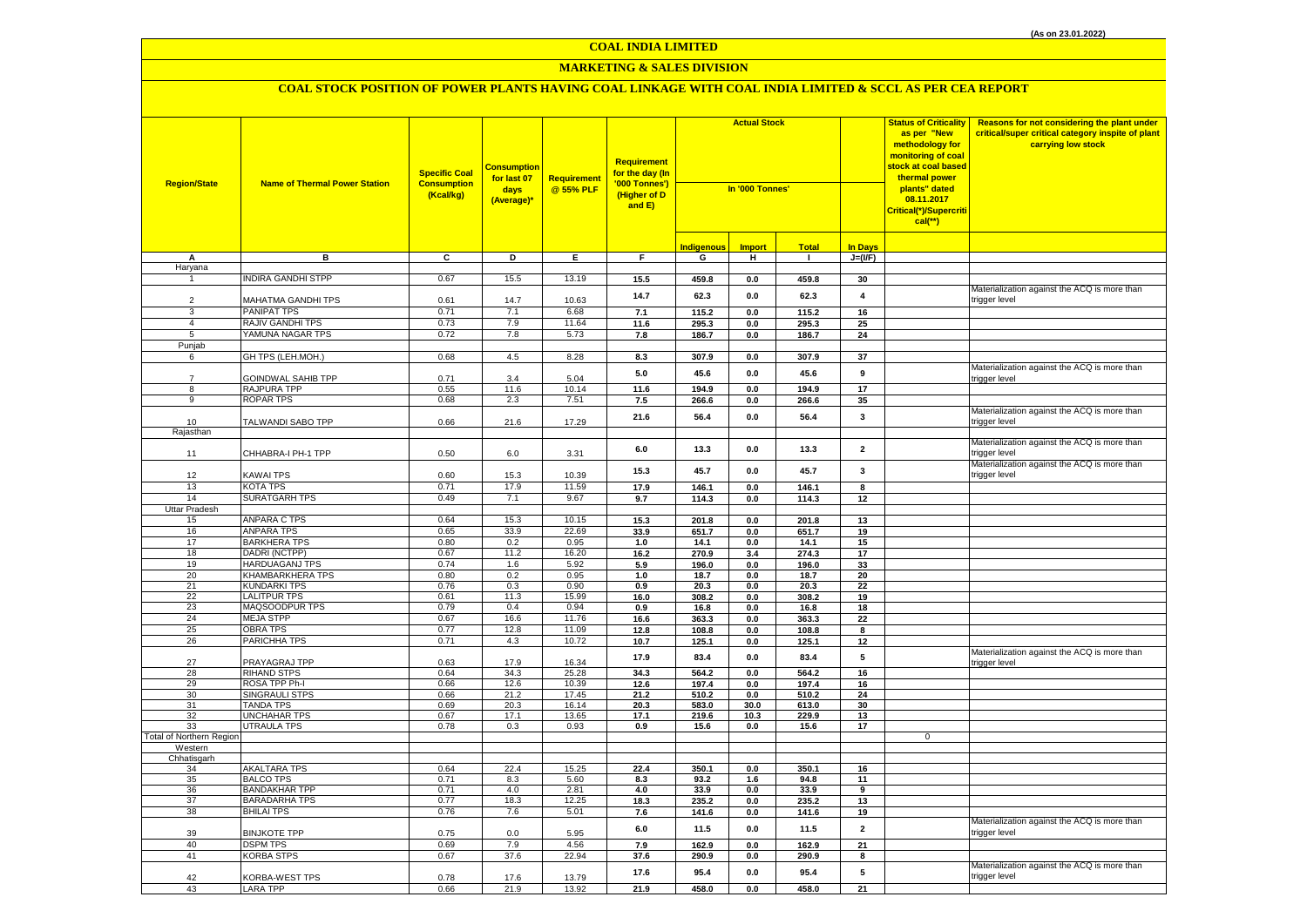## **MARKETING & SALES DIVISION**

| <b>Region/State</b>      | <b>Name of Thermal Power Station</b> | <b>Specific Coal</b><br><b>Consumption</b><br>(Kcal/kg) | <b>Consumption</b><br>for last 07<br>days<br>(Average)* | Requirement<br>@ 55% PLF | Requirement<br>for the day (In<br>'000 Tonnes')<br>(Higher of D<br>and E) | <b>Actual Stock</b><br>In '000 Tonnes' |               |               | <b>Status of Criticality</b><br>as per "New<br>methodology for<br>monitoring of coal<br><mark>stock at coal based</mark><br>thermal power<br>plants" dated<br>08.11.2017<br><mark>Critical(*)/Supercrit</mark> i<br>$cal$ (**) |             | Reasons for not considering the plant under<br>critical/super critical category inspite of plant<br>carrying low stock |
|--------------------------|--------------------------------------|---------------------------------------------------------|---------------------------------------------------------|--------------------------|---------------------------------------------------------------------------|----------------------------------------|---------------|---------------|--------------------------------------------------------------------------------------------------------------------------------------------------------------------------------------------------------------------------------|-------------|------------------------------------------------------------------------------------------------------------------------|
|                          |                                      |                                                         |                                                         |                          |                                                                           | <b>Indigenous</b>                      | <b>Import</b> | <b>Total</b>  | <b>In Days</b>                                                                                                                                                                                                                 |             |                                                                                                                        |
| А                        | в                                    | C                                                       | D                                                       | E.                       | F.                                                                        | G                                      | н             | $\mathbf{L}$  | $J=(VF)$                                                                                                                                                                                                                       |             |                                                                                                                        |
| Haryana                  |                                      |                                                         |                                                         |                          |                                                                           |                                        |               |               |                                                                                                                                                                                                                                |             |                                                                                                                        |
| $\mathbf{1}$             | NDIRA GANDHI STPP                    | 0.67                                                    | 15.5                                                    | 13.19                    | 15.5                                                                      | 459.8                                  | $0.0\,$       | 459.8         | 30                                                                                                                                                                                                                             |             | Materialization against the ACQ is more than                                                                           |
| $\overline{2}$           | MAHATMA GANDHI TPS                   | 0.61                                                    | 14.7                                                    | 10.63                    | 14.7                                                                      | 62.3                                   | 0.0           | 62.3          | $\overline{\mathbf{4}}$                                                                                                                                                                                                        |             | trigger level                                                                                                          |
| 3                        | PANIPAT TPS                          | 0.71                                                    | 7.1                                                     | 6.68                     | 7.1                                                                       | 115.2                                  | 0.0           | 115.2         | 16                                                                                                                                                                                                                             |             |                                                                                                                        |
| $\overline{4}$           | RAJIV GANDHI TPS                     | 0.73                                                    | 7.9                                                     | 11.64                    | 11.6                                                                      | 295.3                                  | 0.0           | 295.3         | 25                                                                                                                                                                                                                             |             |                                                                                                                        |
| 5                        | YAMUNA NAGAR TPS                     | 0.72                                                    | 7.8                                                     | 5.73                     | 7.8                                                                       | 186.7                                  | 0.0           | 186.7         | 24                                                                                                                                                                                                                             |             |                                                                                                                        |
| Punjab                   |                                      |                                                         |                                                         |                          |                                                                           |                                        |               |               |                                                                                                                                                                                                                                |             |                                                                                                                        |
| 6                        | GH TPS (LEH.MOH.)                    | 0.68                                                    | 4.5                                                     | 8.28                     | 8.3                                                                       | 307.9                                  | $0.0\,$       | 307.9         | 37                                                                                                                                                                                                                             |             |                                                                                                                        |
|                          |                                      |                                                         |                                                         |                          | $5.0$                                                                     | 45.6                                   | $0.0\,$       | 45.6          | 9                                                                                                                                                                                                                              |             | Materialization against the ACQ is more than                                                                           |
| $\overline{7}$           | GOINDWAL SAHIB TPP                   | 0.71                                                    | 3.4                                                     | 5.04                     |                                                                           |                                        |               |               |                                                                                                                                                                                                                                |             | rigger level                                                                                                           |
| $\overline{8}$           | RAJPURA TPP                          | 0.55                                                    | 11.6                                                    | 10.14                    | 11.6                                                                      | 194.9                                  | $0.0\,$       | 194.9         | 17                                                                                                                                                                                                                             |             |                                                                                                                        |
| 9                        | <b>ROPAR TPS</b>                     | 0.68                                                    | 2.3                                                     | 7.51                     | $7.5\,$                                                                   | 266.6                                  | $0.0\,$       | 266.6         | 35                                                                                                                                                                                                                             |             |                                                                                                                        |
|                          |                                      |                                                         |                                                         |                          | 21.6                                                                      | 56.4                                   | $0.0\,$       | 56.4          | 3                                                                                                                                                                                                                              |             | Materialization against the ACQ is more than                                                                           |
| 10<br>Rajasthan          | TALWANDI SABO TPP                    | 0.66                                                    | 21.6                                                    | 17.29                    |                                                                           |                                        |               |               |                                                                                                                                                                                                                                |             | trigger level                                                                                                          |
| 11                       | CHHABRA-I PH-1 TPP                   | 0.50                                                    | 6.0                                                     | 3.31                     | 6.0                                                                       | 13.3                                   | 0.0           | 13.3          | $\overline{\mathbf{2}}$                                                                                                                                                                                                        |             | Materialization against the ACQ is more than<br>rigger level                                                           |
|                          |                                      |                                                         |                                                         |                          | 15.3                                                                      | 45.7                                   | 0.0           | 45.7          | 3                                                                                                                                                                                                                              |             | Materialization against the ACQ is more than                                                                           |
| 12                       | KAWAI TPS                            | 0.60                                                    | 15.3                                                    | 10.39                    |                                                                           |                                        |               |               |                                                                                                                                                                                                                                |             | trigger level                                                                                                          |
| 13                       | KOTA TPS                             | 0.71                                                    | 17.9                                                    | 11.59                    | 17.9                                                                      | 146.1                                  | 0.0           | 146.1         | 8                                                                                                                                                                                                                              |             |                                                                                                                        |
| 14                       | <b>SURATGARH TPS</b>                 | 0.49                                                    | 7.1                                                     | 9.67                     | 9.7                                                                       | 114.3                                  | 0.0           | 114.3         | 12                                                                                                                                                                                                                             |             |                                                                                                                        |
| Uttar Pradesh<br>15      | ANPARA C TPS                         | 0.64                                                    | 15.3                                                    | 10.15                    | 15.3                                                                      | 201.8                                  | 0.0           | 201.8         | 13                                                                                                                                                                                                                             |             |                                                                                                                        |
| 16                       | ANPARA TPS                           | 0.65                                                    | 33.9                                                    | 22.69                    | 33.9                                                                      | 651.7                                  | 0.0           | 651.7         | 19                                                                                                                                                                                                                             |             |                                                                                                                        |
| 17                       | <b>BARKHERA TPS</b>                  | 0.80                                                    | 0.2                                                     | 0.95                     | 1.0                                                                       | 14.1                                   | 0.0           | 14.1          | 15                                                                                                                                                                                                                             |             |                                                                                                                        |
| 18                       | DADRI (NCTPP)                        | 0.67                                                    | 11.2                                                    | 16.20                    | 16.2                                                                      | 270.9                                  | 3.4           | 274.3         | 17                                                                                                                                                                                                                             |             |                                                                                                                        |
| 19                       | <b>HARDUAGANJ TPS</b>                | 0.74                                                    | 1.6                                                     | 5.92                     | 5.9                                                                       | 196.0                                  | 0.0           | 196.0         | 33                                                                                                                                                                                                                             |             |                                                                                                                        |
| 20                       | <b>KHAMBARKHERA TPS</b>              | 0.80                                                    | 0.2                                                     | 0.95                     | $1.0$                                                                     | 18.7                                   | $0.0\,$       | 18.7          | 20                                                                                                                                                                                                                             |             |                                                                                                                        |
| 21                       | KUNDARKI TPS                         | 0.76                                                    | 0.3                                                     | 0.90                     | 0.9                                                                       | 20.3                                   | 0.0           | 20.3          | 22                                                                                                                                                                                                                             |             |                                                                                                                        |
| 22                       | <b>LALITPUR TPS</b>                  | 0.61                                                    | 11.3                                                    | 15.99                    | 16.0                                                                      | 308.2                                  | 0.0           | 308.2         | 19                                                                                                                                                                                                                             |             |                                                                                                                        |
| 23                       | MAQSOODPUR TPS                       | 0.79                                                    | 0.4                                                     | 0.94                     | 0.9                                                                       | 16.8                                   | 0.0           | 16.8          | 18                                                                                                                                                                                                                             |             |                                                                                                                        |
| 24                       | <b>MEJA STPP</b>                     | 0.67                                                    | 16.6                                                    | 11.76                    | 16.6                                                                      | 363.3                                  | 0.0           | 363.3         | 22                                                                                                                                                                                                                             |             |                                                                                                                        |
| 25                       | <b>OBRA TPS</b>                      | 0.77                                                    | 12.8                                                    | 11.09                    | 12.8                                                                      | 108.8                                  | 0.0           | 108.8         | 8                                                                                                                                                                                                                              |             |                                                                                                                        |
| 26                       | PARICHHA TPS                         | 0.71                                                    | 4.3                                                     | 10.72                    | 10.7                                                                      | 125.1                                  | 0.0           | 125.1         | 12                                                                                                                                                                                                                             |             |                                                                                                                        |
| 27<br>28                 | PRAYAGRAJ TPP<br><b>RIHAND STPS</b>  | 0.63<br>0.64                                            | 17.9<br>34.3                                            | 16.34<br>25.28           | 17.9<br>34.3                                                              | 83.4<br>564.2                          | 0.0<br>0.0    | 83.4<br>564.2 | 5<br>16                                                                                                                                                                                                                        |             | Materialization against the ACQ is more than<br>trigger level                                                          |
| 29                       | ROSA TPP Ph-I                        | 0.66                                                    | 12.6                                                    | 10.39                    | 12.6                                                                      | 197.4                                  | 0.0           | 197.4         | 16                                                                                                                                                                                                                             |             |                                                                                                                        |
| 30 <sup>2</sup>          | <b>SINGRAULI STPS</b>                | 0.66                                                    | 21.2                                                    | 17.45                    | 21.2                                                                      | 510.2                                  | $0.0\,$       | 510.2         | 24                                                                                                                                                                                                                             |             |                                                                                                                        |
| 31                       | <b>TANDA TPS</b>                     | 0.69                                                    | 20.3                                                    | 16.14                    | 20.3                                                                      | 583.0                                  | 30.0          | 613.0         | 30                                                                                                                                                                                                                             |             |                                                                                                                        |
| 32                       | UNCHAHAR TPS                         | 0.67                                                    | 17.1                                                    | 13.65                    | 17.1                                                                      | 219.6                                  | 10.3          | 229.9         | 13                                                                                                                                                                                                                             |             |                                                                                                                        |
| 33                       | UTRAULA TPS                          | 0.78                                                    | 0.3                                                     | 0.93                     | 0.9                                                                       | 15.6                                   | 0.0           | 15.6          | 17                                                                                                                                                                                                                             |             |                                                                                                                        |
| Total of Northern Region |                                      |                                                         |                                                         |                          |                                                                           |                                        |               |               |                                                                                                                                                                                                                                | $\mathbf 0$ |                                                                                                                        |
| Western<br>Chhatisgarh   |                                      |                                                         |                                                         |                          |                                                                           |                                        |               |               |                                                                                                                                                                                                                                |             |                                                                                                                        |
| 34                       | AKALTARA TPS                         | 0.64                                                    | 22.4                                                    | 15.25                    | 22.4                                                                      | 350.1                                  | 0.0           | 350.1         | 16                                                                                                                                                                                                                             |             |                                                                                                                        |
| 35                       | <b>BALCO TPS</b>                     | 0.71                                                    | 8.3                                                     | 5.60                     | 8.3                                                                       | 93.2                                   | 1.6           | 94.8          | 11                                                                                                                                                                                                                             |             |                                                                                                                        |
| 36                       | <b>BANDAKHAR TPP</b>                 | 0.71                                                    | 4.0                                                     | 2.81                     | 4.0                                                                       | 33.9                                   | 0.0           | 33.9          | 9                                                                                                                                                                                                                              |             |                                                                                                                        |
| 37                       | BARADARHA TPS                        | 0.77                                                    | 18.3                                                    | 12.25                    | 18.3                                                                      | 235.2                                  | 0.0           | 235.2         | 13                                                                                                                                                                                                                             |             |                                                                                                                        |
| 38                       | <b>BHILAI TPS</b>                    | 0.76                                                    | 7.6                                                     | 5.01                     | 7.6                                                                       | 141.6                                  | 0.0           | 141.6         | 19                                                                                                                                                                                                                             |             |                                                                                                                        |
| 39                       | <b>BINJKOTE TPP</b>                  | 0.75                                                    | 0.0                                                     | 5.95                     | 6.0                                                                       | 11.5                                   | $0.0\,$       | 11.5          | $\overline{\mathbf{2}}$                                                                                                                                                                                                        |             | Materialization against the ACQ is more than<br>rigger level:                                                          |
| 40                       | <b>DSPM TPS</b>                      | 0.69                                                    | 7.9                                                     | 4.56                     | 7.9                                                                       | 162.9                                  | 0.0           | 162.9         | 21                                                                                                                                                                                                                             |             |                                                                                                                        |
| 41                       | <b>KORBA STPS</b>                    | 0.67                                                    | 37.6                                                    | 22.94                    | 37.6                                                                      | 290.9                                  | $0.0\,$       | 290.9         | 8                                                                                                                                                                                                                              |             |                                                                                                                        |
| 42<br>43                 | <b>KORBA-WEST TPS</b>                | 0.78<br>0.66                                            | 17.6                                                    | 13.79                    | 17.6<br>21.9                                                              | 95.4<br>458.0                          | 0.0<br>0.0    | 95.4<br>458.0 | 5<br>21                                                                                                                                                                                                                        |             | Materialization against the ACQ is more than<br>trigger level                                                          |
|                          | <b>LARA TPP</b>                      |                                                         | 21.9                                                    | 13.92                    |                                                                           |                                        |               |               |                                                                                                                                                                                                                                |             |                                                                                                                        |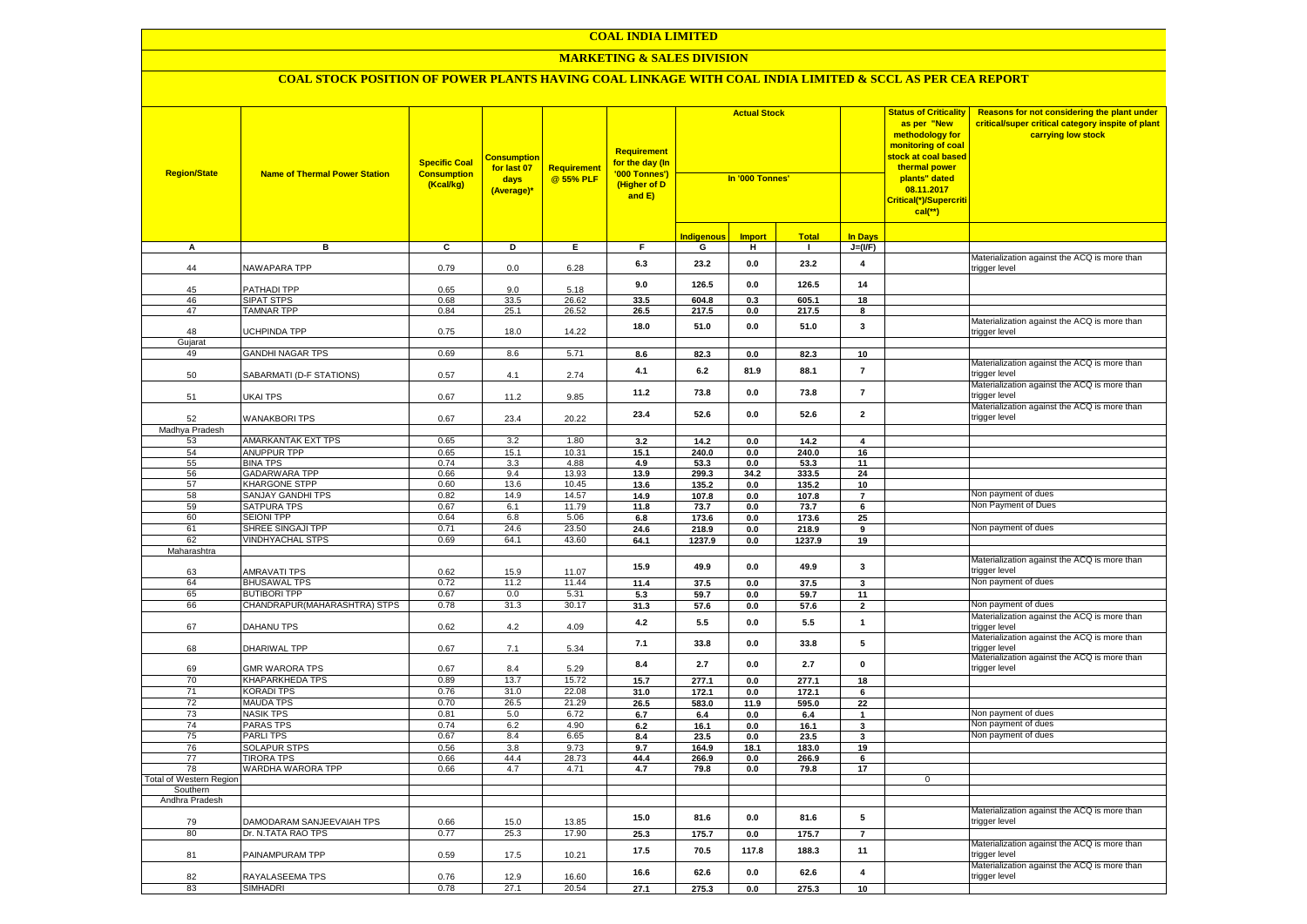#### **MARKETING & SALES DIVISION**

| <b>Region/State</b>            | <b>Name of Thermal Power Station</b>             | <b>Specific Coal</b><br><b>Consumption</b><br>(Kcal/kg) | <b>Consumption</b><br>for last 07<br>days<br>(Average)* | Requirement<br>@ 55% PLF | Requirement<br>f <mark>or the day (In</mark><br>'000 Tonnes')<br>(Higher of D<br>and E) | <b>Actual Stock</b><br>In '000 Tonnes' |               |                |                         | <b>Status of Criticality</b><br>as per "New<br>methodology for<br>monitoring of coal<br>stock at coal based<br>thermal power<br>plants" dated<br>08.11.2017<br>Critical(*)/Supercriti<br>$cal$ (**) | Reasons for not considering the plant under<br>critical/super critical category inspite of plant<br>carrying low stock |
|--------------------------------|--------------------------------------------------|---------------------------------------------------------|---------------------------------------------------------|--------------------------|-----------------------------------------------------------------------------------------|----------------------------------------|---------------|----------------|-------------------------|-----------------------------------------------------------------------------------------------------------------------------------------------------------------------------------------------------|------------------------------------------------------------------------------------------------------------------------|
|                                |                                                  |                                                         |                                                         |                          |                                                                                         | <b>Indigenous</b>                      | <b>Import</b> | <b>Total</b>   | <b>In Days</b>          |                                                                                                                                                                                                     |                                                                                                                        |
| А                              | в                                                | $\overline{c}$                                          | Þ                                                       | E                        | $\overline{F}$                                                                          | G                                      | н             | $\blacksquare$ | $J=(VF)$                |                                                                                                                                                                                                     |                                                                                                                        |
| 44                             | <b>NAWAPARA TPP</b>                              | 0.79                                                    | 0.0                                                     | 6.28                     | 6.3                                                                                     | 23.2                                   | 0.0           | 23.2           | $\overline{\mathbf{4}}$ |                                                                                                                                                                                                     | Materialization against the ACQ is more than<br>rigger level                                                           |
| 45                             | PATHADI TPP                                      | 0.65                                                    | 9.0                                                     | 5.18                     | 9.0                                                                                     | 126.5                                  | 0.0           | 126.5          | 14                      |                                                                                                                                                                                                     |                                                                                                                        |
| 46                             | <b>SIPAT STPS</b>                                | 0.68                                                    | 33.5                                                    | 26.62                    | 33.5                                                                                    | 604.8                                  | 0.3           | 605.1          | 18                      |                                                                                                                                                                                                     |                                                                                                                        |
| 47                             | <b>TAMNAR TPP</b>                                | 0.84                                                    | 25.1                                                    | $26.\overline{52}$       | 26.5                                                                                    | 217.5                                  | 0.0           | 217.5          | 8                       |                                                                                                                                                                                                     |                                                                                                                        |
| 48<br>Gujarat                  | UCHPINDA TPP                                     | 0.75                                                    | 18.0                                                    | 14.22                    | 18.0                                                                                    | 51.0                                   | 0.0           | 51.0           | 3                       |                                                                                                                                                                                                     | Materialization against the ACQ is more than<br>trigger level                                                          |
| 49                             | <b>GANDHI NAGAR TPS</b>                          | 0.69                                                    | 8.6                                                     | 5.71                     | 8.6                                                                                     | 82.3                                   | 0.0           | 82.3           | 10                      |                                                                                                                                                                                                     |                                                                                                                        |
| 50                             | SABARMATI (D-F STATIONS)                         | 0.57                                                    | 4.1                                                     | 2.74                     | 4.1                                                                                     | 6.2                                    | 81.9          | 88.1           | $\overline{7}$          |                                                                                                                                                                                                     | Materialization against the ACQ is more than<br>trigger level                                                          |
| 51                             | UKAI TPS                                         | 0.67                                                    | 11.2                                                    | 9.85                     | 11.2                                                                                    | 73.8                                   | 0.0           | 73.8           | $\overline{7}$          |                                                                                                                                                                                                     | Materialization against the ACQ is more than<br>rigger level:                                                          |
| 52                             | <b>WANAKBORI TPS</b>                             | 0.67                                                    | 23.4                                                    | 20.22                    | 23.4                                                                                    | 52.6                                   | 0.0           | 52.6           | $\overline{\mathbf{2}}$ |                                                                                                                                                                                                     | Materialization against the ACQ is more than<br>trigger level                                                          |
| Madhya Pradesh                 |                                                  |                                                         |                                                         |                          |                                                                                         |                                        |               |                |                         |                                                                                                                                                                                                     |                                                                                                                        |
| 53                             | <b>AMARKANTAK EXT TPS</b>                        | 0.65                                                    | 3.2                                                     | 1.80                     | 3.2                                                                                     | 14.2                                   | 0.0           | 14.2           | $\overline{\mathbf{4}}$ |                                                                                                                                                                                                     |                                                                                                                        |
| 54                             | <b>ANUPPUR TPP</b>                               | 0.65                                                    | 15.1                                                    | 10.31                    | 15.1                                                                                    | 240.0                                  | 0.0           | 240.0          | 16                      |                                                                                                                                                                                                     |                                                                                                                        |
| 55                             | <b>BINA TPS</b>                                  | 0.74                                                    | 3.3                                                     | 4.88                     | 4.9                                                                                     | 53.3                                   | 0.0           | 53.3           | 11                      |                                                                                                                                                                                                     |                                                                                                                        |
| 56                             | <b>GADARWARA TPP</b>                             | 0.66                                                    | 9.4                                                     | 13.93                    | 13.9                                                                                    | 299.3                                  | 34.2          | 333.5          | 24                      |                                                                                                                                                                                                     |                                                                                                                        |
| 57<br>58                       | <b>KHARGONE STPP</b><br><b>SANJAY GANDHI TPS</b> | 0.60<br>0.82                                            | 13.6<br>14.9                                            | 10.45<br>14.57           | 13.6                                                                                    | 135.2                                  | 0.0           | 135.2          | 10<br>$\overline{7}$    |                                                                                                                                                                                                     | Non payment of dues                                                                                                    |
| 59                             | <b>SATPURA TPS</b>                               | 0.67                                                    | 6.1                                                     | 11.79                    | 14.9<br>11.8                                                                            | 107.8<br>73.7                          | 0.0<br>0.0    | 107.8<br>73.7  | $6\overline{6}$         |                                                                                                                                                                                                     | Non Payment of Dues                                                                                                    |
| 60                             | <b>SEIONI TPP</b>                                | 0.64                                                    | 6.8                                                     | 5.06                     | 6.8                                                                                     | 173.6                                  | 0.0           | 173.6          | 25                      |                                                                                                                                                                                                     |                                                                                                                        |
| 61                             | SHREE SINGAJI TPP                                | 0.71                                                    | 24.6                                                    | 23.50                    | 24.6                                                                                    | 218.9                                  | 0.0           | 218.9          | 9                       |                                                                                                                                                                                                     | Non payment of dues                                                                                                    |
| 62                             | <b>VINDHYACHAL STPS</b>                          | 0.69                                                    | 64.1                                                    | 43.60                    | 64.1                                                                                    | 1237.9                                 | $0.0\,$       | 1237.9         | 19                      |                                                                                                                                                                                                     |                                                                                                                        |
| Maharashtra                    |                                                  |                                                         |                                                         |                          |                                                                                         |                                        |               |                |                         |                                                                                                                                                                                                     |                                                                                                                        |
| 63                             | <b>AMRAVATI TPS</b>                              | 0.62                                                    | 15.9                                                    | 11.07                    | 15.9                                                                                    | 49.9                                   | 0.0           | 49.9           | $\mathbf{3}$            |                                                                                                                                                                                                     | Materialization against the ACQ is more than<br>rigger level:                                                          |
| 64                             | <b>BHUSAWAL TPS</b>                              | 0.72                                                    | 11.2                                                    | 11.44                    | 11.4                                                                                    | 37.5                                   | $0.0\,$       | 37.5           | 3                       |                                                                                                                                                                                                     | Non payment of dues                                                                                                    |
| 65                             | <b>BUTIBORI TPP</b>                              | 0.67                                                    | 0.0                                                     | 5.31                     | 5.3                                                                                     | 59.7                                   | 0.0           | 59.7           | 11                      |                                                                                                                                                                                                     |                                                                                                                        |
| 66                             | CHANDRAPUR (MAHARASHTRA) STPS                    | 0.78                                                    | 31.3                                                    | 30.17                    | 31.3                                                                                    | 57.6                                   | 0.0           | 57.6           | $\overline{2}$          |                                                                                                                                                                                                     | Non payment of dues                                                                                                    |
| 67                             | DAHANU TPS                                       | 0.62                                                    | 4.2                                                     | 4.09                     | 4.2                                                                                     | 5.5                                    | 0.0           | 5.5            | $\mathbf{1}$            |                                                                                                                                                                                                     | Materialization against the ACQ is more than<br>trigger level                                                          |
| 68                             | DHARIWAL TPP                                     | 0.67                                                    | 7.1                                                     | 5.34                     | 7.1                                                                                     | 33.8                                   | 0.0           | 33.8           | 5                       |                                                                                                                                                                                                     | Materialization against the ACQ is more than<br>trigger level<br>Materialization against the ACQ is more than          |
| 69                             | <b>GMR WARORA TPS</b>                            | 0.67                                                    | 8.4                                                     | 5.29                     | 8.4                                                                                     | 2.7                                    | 0.0           | 2.7            | $\mathbf 0$             |                                                                                                                                                                                                     | trigger level                                                                                                          |
| 70                             | <b>KHAPARKHEDA TPS</b>                           | 0.89                                                    | 13.7                                                    | 15.72                    | 15.7                                                                                    | 277.1                                  | 0.0           | 277.1          | 18                      |                                                                                                                                                                                                     |                                                                                                                        |
| 71                             | <b>KORADI TPS</b>                                | 0.76                                                    | 31.0                                                    | 22.08                    | 31.0                                                                                    | 172.1                                  | $0.0\,$       | 172.1          | 6                       |                                                                                                                                                                                                     |                                                                                                                        |
| 72                             | <b>MAUDA TPS</b>                                 | 0.70                                                    | 26.5                                                    | 21.29                    | 26.5                                                                                    | 583.0                                  | 11.9          | 595.0          | 22                      |                                                                                                                                                                                                     |                                                                                                                        |
| 73                             | <b>NASIK TPS</b>                                 | 0.81                                                    | 5.0                                                     | 6.72                     | 6.7                                                                                     | 6.4                                    | 0.0           | 6.4            | $\mathbf{1}$            |                                                                                                                                                                                                     | Non payment of dues                                                                                                    |
| 74                             | <b>PARAS TPS</b>                                 | 0.74                                                    | 6.2                                                     | 4.90                     | 6.2                                                                                     | 16.1                                   | 0.0           | 16.1           | 3                       |                                                                                                                                                                                                     | Non payment of dues                                                                                                    |
| 75                             | <b>PARLITPS</b>                                  | 0.67                                                    | 8.4                                                     | 6.65                     | 8.4                                                                                     | 23.5                                   | 0.0           | 23.5           | 3                       |                                                                                                                                                                                                     | Non payment of dues                                                                                                    |
| 76                             | <b>SOLAPUR STPS</b>                              | 0.56                                                    | 3.8                                                     | 9.73                     | 9.7                                                                                     | 164.9                                  | 18.1          | 183.0          | 19                      |                                                                                                                                                                                                     |                                                                                                                        |
| 77<br>78                       | <b>TIRORA TPS</b><br>WARDHA WARORA TPP           | 0.66<br>0.66                                            | 44.4<br>4.7                                             | 28.73<br>4.71            | 44.4<br>4.7                                                                             | 266.9<br>79.8                          | 0.0<br>0.0    | 266.9<br>79.8  | 6<br>17                 |                                                                                                                                                                                                     |                                                                                                                        |
| <b>Total of Western Region</b> |                                                  |                                                         |                                                         |                          |                                                                                         |                                        |               |                |                         | $\mathbf 0$                                                                                                                                                                                         |                                                                                                                        |
| Southern                       |                                                  |                                                         |                                                         |                          |                                                                                         |                                        |               |                |                         |                                                                                                                                                                                                     |                                                                                                                        |
| Andhra Pradesh                 |                                                  |                                                         |                                                         |                          |                                                                                         |                                        |               |                |                         |                                                                                                                                                                                                     |                                                                                                                        |
| 79                             | DAMODARAM SANJEEVAIAH TPS                        | 0.66                                                    | 15.0                                                    | 13.85                    | 15.0                                                                                    | 81.6                                   | 0.0           | 81.6           | 5                       |                                                                                                                                                                                                     | Materialization against the ACQ is more than<br>trigger level                                                          |
| 80                             | Dr. N.TATA RAO TPS                               | 0.77                                                    | 25.3                                                    | 17.90                    | 25.3                                                                                    | 175.7                                  | 0.0           | 175.7          | $\overline{7}$          |                                                                                                                                                                                                     |                                                                                                                        |
| 81                             | PAINAMPURAM TPP                                  | 0.59                                                    | 17.5                                                    | 10.21                    | 17.5                                                                                    | 70.5                                   | 117.8         | 188.3          | 11                      |                                                                                                                                                                                                     | Materialization against the ACQ is more than<br>rigger level                                                           |
| 82                             | RAYALASEEMA TPS                                  | 0.76                                                    | 12.9                                                    | 16.60                    | 16.6                                                                                    | 62.6                                   | 0.0           | 62.6           | 4                       |                                                                                                                                                                                                     | Materialization against the ACQ is more than<br>trigger level                                                          |
| 83                             | <b>SIMHADRI</b>                                  | 0.78                                                    | 27.1                                                    | 20.54                    | 27.1                                                                                    | 275.3                                  | 0.0           | 275.3          | 10                      |                                                                                                                                                                                                     |                                                                                                                        |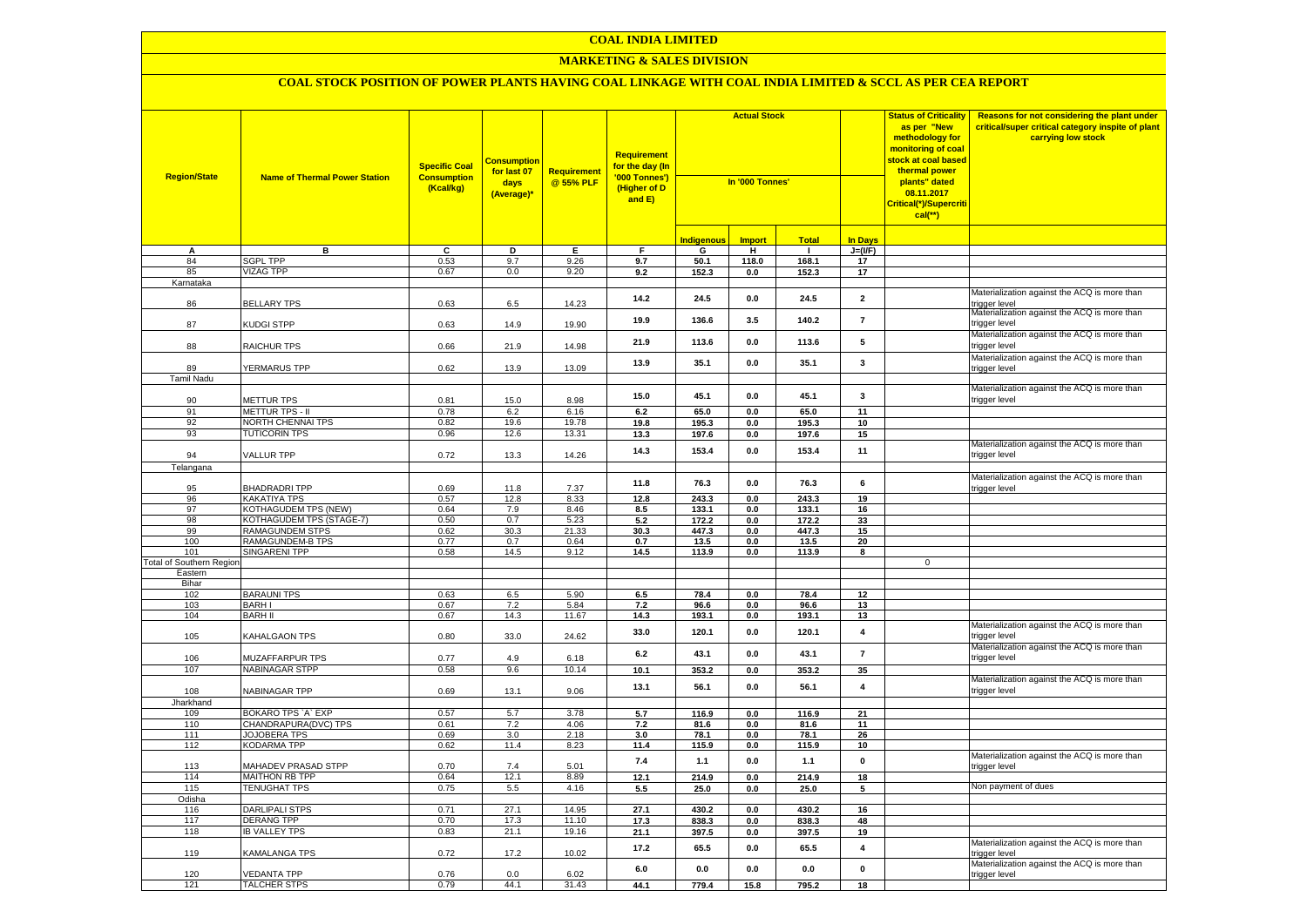#### **MARKETING & SALES DIVISION**

| <b>Region/State</b>      | <b>Name of Thermal Power Station</b>         | <b>Specific Coal</b><br><b>Consumption</b><br>(Kcal/kg) | <u>Consumptior</u><br>for last 07<br>days<br>(Average)* | Requirement<br>@ 55% PLF | <b>Requirement</b><br><mark>for the day (In</mark><br>'000 Tonnes')<br>(Higher of D<br>and E) | <b>Actual Stock</b><br>In '000 Tonnes' |               |                |                         | <b>Status of Criticality</b><br>as per "New<br>methodology for<br>monitoring of coal<br>stock at coal based<br>thermal power<br>plants" dated<br>08.11.2017<br>Critical(*)/Supercriti<br>$cal(**)$ | Reasons for not considering the plant under<br>critical/super critical category inspite of plant<br>carrying low stock |
|--------------------------|----------------------------------------------|---------------------------------------------------------|---------------------------------------------------------|--------------------------|-----------------------------------------------------------------------------------------------|----------------------------------------|---------------|----------------|-------------------------|----------------------------------------------------------------------------------------------------------------------------------------------------------------------------------------------------|------------------------------------------------------------------------------------------------------------------------|
|                          |                                              |                                                         |                                                         |                          |                                                                                               | I <mark>ndigenous</mark>               | <b>Import</b> | <b>Total</b>   | <b>In Days</b>          |                                                                                                                                                                                                    |                                                                                                                        |
| А                        | в                                            | c                                                       | D                                                       | Ε.                       | F                                                                                             | G                                      | н             | $\blacksquare$ | $J=(VF)$                |                                                                                                                                                                                                    |                                                                                                                        |
| 84                       | <b>SGPL TPP</b>                              | 0.53                                                    | 9.7                                                     | 9.26                     | 9.7                                                                                           | 50.1                                   | 118.0         | 168.1          | 17                      |                                                                                                                                                                                                    |                                                                                                                        |
| 85                       | <b>VIZAG TPP</b>                             | 0.67                                                    | 0.0                                                     | 9.20                     | 9.2                                                                                           | 152.3                                  | 0.0           | 152.3          | 17                      |                                                                                                                                                                                                    |                                                                                                                        |
| Karnataka                |                                              |                                                         |                                                         |                          |                                                                                               |                                        |               |                |                         |                                                                                                                                                                                                    |                                                                                                                        |
| 86                       | <b>BELLARY TPS</b>                           | 0.63                                                    | 6.5                                                     | 14.23                    | 14.2                                                                                          | 24.5                                   | 0.0           | 24.5           | $\overline{\mathbf{2}}$ |                                                                                                                                                                                                    | Materialization against the ACQ is more than<br>rigger level                                                           |
| 87                       | KUDGI STPP                                   | 0.63                                                    | 14.9                                                    | 19.90                    | 19.9                                                                                          | 136.6                                  | 3.5           | 140.2          | $\overline{7}$          |                                                                                                                                                                                                    | Materialization against the ACQ is more than<br>rigger level:                                                          |
| 88                       | RAICHUR TPS                                  | 0.66                                                    | 21.9                                                    | 14.98                    | 21.9                                                                                          | 113.6                                  | 0.0           | 113.6          | 5                       |                                                                                                                                                                                                    | Materialization against the ACQ is more than<br>rigger level                                                           |
| 89                       | YERMARUS TPP                                 | 0.62                                                    | 13.9                                                    | 13.09                    | 13.9                                                                                          | 35.1                                   | 0.0           | 35.1           | 3                       |                                                                                                                                                                                                    | Materialization against the ACQ is more than<br>trigger level                                                          |
| <b>Tamil Nadu</b>        |                                              |                                                         |                                                         |                          |                                                                                               |                                        |               |                |                         |                                                                                                                                                                                                    |                                                                                                                        |
| 90                       | METTUR TPS                                   | 0.81                                                    | 15.0                                                    | 8.98                     | 15.0                                                                                          | 45.1                                   | 0.0           | 45.1           | 3                       |                                                                                                                                                                                                    | Materialization against the ACQ is more than<br>rigger level                                                           |
| 91                       | <b>METTUR TPS - II</b>                       | 0.78                                                    | 6.2                                                     | 6.16                     | 6.2                                                                                           | 65.0                                   | 0.0           | 65.0           | 11                      |                                                                                                                                                                                                    |                                                                                                                        |
| 92                       | NORTH CHENNAI TPS                            | 0.82                                                    | 19.6                                                    | 19.78                    | 19.8                                                                                          | 195.3                                  | $0.0\,$       | 195.3          | 10                      |                                                                                                                                                                                                    |                                                                                                                        |
| 93                       | <b>TUTICORIN TPS</b>                         | 0.96                                                    | 12.6                                                    | 13.31                    | 13.3                                                                                          | 197.6                                  | 0.0           | 197.6          | 15                      |                                                                                                                                                                                                    |                                                                                                                        |
| 94                       | VALLUR TPP                                   | 0.72                                                    | 13.3                                                    | 14.26                    | 14.3                                                                                          | 153.4                                  | 0.0           | 153.4          | 11                      |                                                                                                                                                                                                    | Materialization against the ACQ is more than<br>rigger level:                                                          |
| Telangana                |                                              |                                                         |                                                         |                          |                                                                                               |                                        |               |                |                         |                                                                                                                                                                                                    |                                                                                                                        |
|                          |                                              |                                                         |                                                         |                          |                                                                                               |                                        |               |                |                         |                                                                                                                                                                                                    | Materialization against the ACQ is more than                                                                           |
| 95                       | <b>BHADRADRI TPP</b>                         | 0.69                                                    | 11.8                                                    | 7.37                     | 11.8                                                                                          | 76.3                                   | 0.0           | 76.3           | 6                       |                                                                                                                                                                                                    | trigger level                                                                                                          |
| 96                       | KAKATIYA TPS                                 | 0.57                                                    | 12.8                                                    | 8.33                     | 12.8                                                                                          | 243.3                                  | $0.0\,$       | 243.3          | 19                      |                                                                                                                                                                                                    |                                                                                                                        |
| 97                       | KOTHAGUDEM TPS (NEW)                         | 0.64                                                    | 7.9                                                     | 8.46                     | 8.5                                                                                           | 133.1                                  | 0.0           | 133.1          | 16                      |                                                                                                                                                                                                    |                                                                                                                        |
| 98<br>99                 | KOTHAGUDEM TPS (STAGE-7)                     | 0.50                                                    | 0.7                                                     | 5.23                     | 5.2                                                                                           | 172.2                                  | 0.0           | 172.2          | 33                      |                                                                                                                                                                                                    |                                                                                                                        |
| 100                      | RAMAGUNDEM STPS<br>RAMAGUNDEM-B TPS          | 0.62<br>0.77                                            | 30.3<br>0.7                                             | 21.33<br>0.64            | 30.3<br>0.7                                                                                   | 447.3<br>13.5                          | 0.0<br>0.0    | 447.3<br>13.5  | 15<br>20                |                                                                                                                                                                                                    |                                                                                                                        |
| 101                      | <b>SINGARENI TPP</b>                         | 0.58                                                    | 14.5                                                    | 9.12                     | 14.5                                                                                          | 113.9                                  | 0.0           | 113.9          | 8                       |                                                                                                                                                                                                    |                                                                                                                        |
| Total of Southern Region |                                              |                                                         |                                                         |                          |                                                                                               |                                        |               |                |                         | $\mathbf 0$                                                                                                                                                                                        |                                                                                                                        |
| Eastern                  |                                              |                                                         |                                                         |                          |                                                                                               |                                        |               |                |                         |                                                                                                                                                                                                    |                                                                                                                        |
| Bihar                    |                                              |                                                         |                                                         |                          |                                                                                               |                                        |               |                |                         |                                                                                                                                                                                                    |                                                                                                                        |
| 102                      | <b>BARAUNI TPS</b>                           | 0.63                                                    | 6.5                                                     | 5.90                     | 6.5                                                                                           | 78.4                                   | 0.0           | 78.4           | 12                      |                                                                                                                                                                                                    |                                                                                                                        |
| 103                      | <b>BARHI</b>                                 | 0.67                                                    | 7.2                                                     | 5.84                     | 7.2                                                                                           | 96.6                                   | 0.0           | 96.6           | 13                      |                                                                                                                                                                                                    |                                                                                                                        |
| 104                      | <b>BARH II</b>                               | 0.67                                                    | 14.3                                                    | 11.67                    | 14.3                                                                                          | 193.1                                  | 0.0           | 193.1          | 13                      |                                                                                                                                                                                                    | Materialization against the ACQ is more than                                                                           |
| 105                      | KAHALGAON TPS                                | 0.80                                                    | 33.0                                                    | 24.62                    | 33.0                                                                                          | 120.1                                  | 0.0           | 120.1          | $\overline{\mathbf{4}}$ |                                                                                                                                                                                                    | trigger level                                                                                                          |
| 106                      | <b>MUZAFFARPUR TPS</b>                       | 0.77                                                    | 4.9                                                     | 6.18                     | 6.2                                                                                           | 43.1                                   | 0.0           | 43.1           | $\overline{7}$          |                                                                                                                                                                                                    | Materialization against the ACQ is more than<br>trigger level                                                          |
| 107                      | <b>NABINAGAR STPP</b>                        | 0.58                                                    | 9.6                                                     | 10.14                    | 10.1                                                                                          | 353.2                                  | $0.0\,$       | 353.2          | 35                      |                                                                                                                                                                                                    |                                                                                                                        |
| 108                      | NABINAGAR TPP                                | 0.69                                                    | 13.1                                                    | 9.06                     | 13.1                                                                                          | 56.1                                   | 0.0           | 56.1           | $\overline{\mathbf{4}}$ |                                                                                                                                                                                                    | Materialization against the ACQ is more than<br>rigger level:                                                          |
| Jharkhand                |                                              |                                                         |                                                         |                          |                                                                                               |                                        |               |                |                         |                                                                                                                                                                                                    |                                                                                                                        |
| 109                      | BOKARO TPS `A` EXP                           | 0.57                                                    | 5.7                                                     | 3.78                     | 5.7                                                                                           | 116.9                                  | 0.0           | 116.9          | 21                      |                                                                                                                                                                                                    |                                                                                                                        |
| 110<br>111               | CHANDRAPURA(DVC) TPS<br><b>JOJOBERA TPS</b>  | 0.61<br>0.69                                            | 7.2<br>3.0                                              | 4.06<br>2.18             | 7.2<br>3.0                                                                                    | 81.6<br>78.1                           | 0.0<br>0.0    | 81.6<br>78.1   | 11<br>26                |                                                                                                                                                                                                    |                                                                                                                        |
| 112                      | <b>KODARMA TPP</b>                           | 0.62                                                    | 11.4                                                    | 8.23                     | 11.4                                                                                          | 115.9                                  | 0.0           | 115.9          | 10                      |                                                                                                                                                                                                    |                                                                                                                        |
|                          |                                              |                                                         |                                                         |                          | 7.4                                                                                           | 1.1                                    | 0.0           | $1.1$          | $\mathbf 0$             |                                                                                                                                                                                                    | Materialization against the ACQ is more than                                                                           |
| 113<br>114               | MAHADEV PRASAD STPP<br><b>MAITHON RB TPP</b> | 0.70<br>0.64                                            | 7.4<br>12.1                                             | 5.01<br>8.89             | 12.1                                                                                          | 214.9                                  | 0.0           | 214.9          | 18                      |                                                                                                                                                                                                    | rigger level                                                                                                           |
| 115                      | <b>TENUGHAT TPS</b>                          | 0.75                                                    | 5.5                                                     | 4.16                     | 5.5                                                                                           | 25.0                                   | 0.0           | 25.0           | 5                       |                                                                                                                                                                                                    | Non payment of dues                                                                                                    |
| Odisha                   |                                              |                                                         |                                                         |                          |                                                                                               |                                        |               |                |                         |                                                                                                                                                                                                    |                                                                                                                        |
| 116                      | <b>DARLIPALI STPS</b>                        | 0.71                                                    | 27.1                                                    | 14.95                    | 27.1                                                                                          | 430.2                                  | 0.0           | 430.2          | 16                      |                                                                                                                                                                                                    |                                                                                                                        |
| 117                      | <b>DERANG TPP</b>                            | 0.70                                                    | 17.3                                                    | 11.10                    | 17.3                                                                                          | 838.3                                  | $0.0\,$       | 838.3          | 48                      |                                                                                                                                                                                                    |                                                                                                                        |
| 118                      | <b>IB VALLEY TPS</b>                         | 0.83                                                    | 21.1                                                    | 19.16                    | 21.1                                                                                          | 397.5                                  | $0.0\,$       | 397.5          | 19                      |                                                                                                                                                                                                    |                                                                                                                        |
| 119                      | KAMALANGA TPS                                | 0.72                                                    | 17.2                                                    | 10.02                    | 17.2                                                                                          | 65.5                                   | 0.0           | 65.5           | 4                       |                                                                                                                                                                                                    | Materialization against the ACQ is more than<br>rigger level                                                           |
| 120                      | <b>VEDANTA TPP</b>                           | 0.76                                                    | 0.0                                                     | 6.02                     | 6.0                                                                                           | 0.0                                    | 0.0           | 0.0            | $\mathbf 0$             |                                                                                                                                                                                                    | Materialization against the ACQ is more than<br>trigger level                                                          |
| 121                      | <b>TALCHER STPS</b>                          | 0.79                                                    | 44.1                                                    | 31.43                    | 44.1                                                                                          | 779.4                                  | 15.8          | 795.2          | $\overline{18}$         |                                                                                                                                                                                                    |                                                                                                                        |